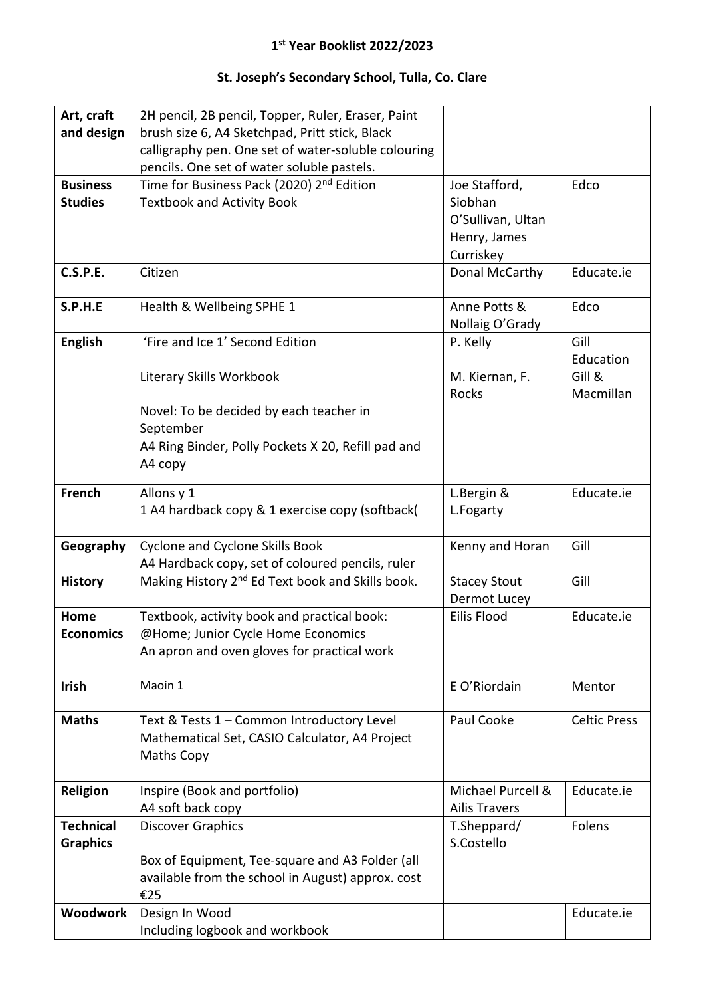## **1 st Year Booklist 2022/2023**

## **St. Joseph's Secondary School, Tulla, Co. Clare**

| Art, craft       | 2H pencil, 2B pencil, Topper, Ruler, Eraser, Paint           |                                     |                     |
|------------------|--------------------------------------------------------------|-------------------------------------|---------------------|
| and design       | brush size 6, A4 Sketchpad, Pritt stick, Black               |                                     |                     |
|                  | calligraphy pen. One set of water-soluble colouring          |                                     |                     |
|                  | pencils. One set of water soluble pastels.                   |                                     |                     |
| <b>Business</b>  | Time for Business Pack (2020) 2 <sup>nd</sup> Edition        | Joe Stafford,                       | Edco                |
| <b>Studies</b>   | <b>Textbook and Activity Book</b>                            | Siobhan                             |                     |
|                  |                                                              | O'Sullivan, Ultan                   |                     |
|                  |                                                              | Henry, James                        |                     |
| C.S.P.E.         |                                                              | Curriskey                           | Educate.ie          |
|                  | Citizen                                                      | Donal McCarthy                      |                     |
| S.P.H.E          | Health & Wellbeing SPHE 1                                    | Anne Potts &                        | Edco                |
|                  |                                                              | Nollaig O'Grady                     |                     |
| <b>English</b>   | 'Fire and Ice 1' Second Edition                              | P. Kelly                            | Gill                |
|                  |                                                              |                                     | Education           |
|                  | Literary Skills Workbook                                     | M. Kiernan, F.                      | Gill &              |
|                  |                                                              | <b>Rocks</b>                        | Macmillan           |
|                  | Novel: To be decided by each teacher in                      |                                     |                     |
|                  | September                                                    |                                     |                     |
|                  | A4 Ring Binder, Polly Pockets X 20, Refill pad and           |                                     |                     |
|                  | A4 copy                                                      |                                     |                     |
| French           | Allons y 1                                                   | L.Bergin &                          | Educate.ie          |
|                  | 1 A4 hardback copy & 1 exercise copy (softback)              | L.Fogarty                           |                     |
|                  |                                                              |                                     |                     |
| Geography        | Cyclone and Cyclone Skills Book                              | Kenny and Horan                     | Gill                |
|                  | A4 Hardback copy, set of coloured pencils, ruler             |                                     | Gill                |
| <b>History</b>   | Making History 2 <sup>nd</sup> Ed Text book and Skills book. | <b>Stacey Stout</b><br>Dermot Lucey |                     |
| Home             | Textbook, activity book and practical book:                  | Eilis Flood                         | Educate.ie          |
| <b>Economics</b> | @Home; Junior Cycle Home Economics                           |                                     |                     |
|                  | An apron and oven gloves for practical work                  |                                     |                     |
|                  |                                                              |                                     |                     |
| <b>Irish</b>     | Maoin 1                                                      | E O'Riordain                        | Mentor              |
|                  |                                                              |                                     |                     |
| <b>Maths</b>     | Text & Tests 1 - Common Introductory Level                   | Paul Cooke                          | <b>Celtic Press</b> |
|                  | Mathematical Set, CASIO Calculator, A4 Project               |                                     |                     |
|                  | Maths Copy                                                   |                                     |                     |
| Religion         | Inspire (Book and portfolio)                                 | Michael Purcell &                   | Educate.ie          |
|                  | A4 soft back copy                                            | <b>Ailis Travers</b>                |                     |
| <b>Technical</b> | <b>Discover Graphics</b>                                     | T.Sheppard/                         | Folens              |
| <b>Graphics</b>  |                                                              | S.Costello                          |                     |
|                  | Box of Equipment, Tee-square and A3 Folder (all              |                                     |                     |
|                  | available from the school in August) approx. cost            |                                     |                     |
|                  | €25                                                          |                                     |                     |
| Woodwork         | Design In Wood                                               |                                     | Educate.ie          |
|                  | Including logbook and workbook                               |                                     |                     |